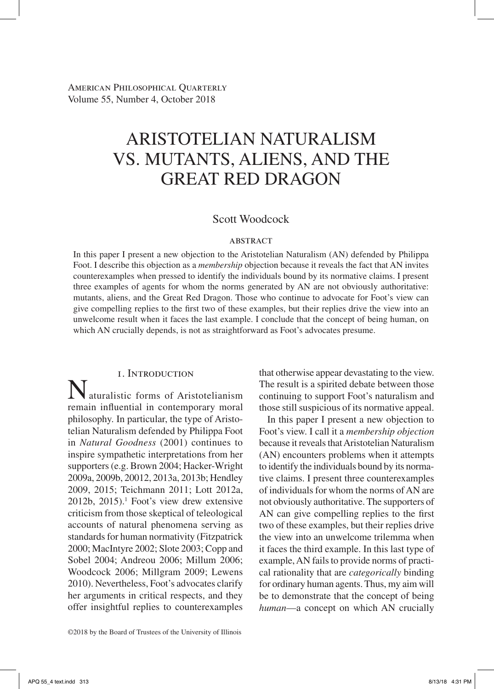American Philosophical Quarterly Volume 55, Number 4, October 2018

# Aristotelian Naturalism vs. Mutants, Aliens, and the Great Red Dragon

# Scott Woodcock

#### **ABSTRACT**

In this paper I present a new objection to the Aristotelian Naturalism (AN) defended by Philippa Foot. I describe this objection as a *membership* objection because it reveals the fact that AN invites counterexamples when pressed to identify the individuals bound by its normative claims. I present three examples of agents for whom the norms generated by AN are not obviously authoritative: mutants, aliens, and the Great Red Dragon. Those who continue to advocate for Foot's view can give compelling replies to the first two of these examples, but their replies drive the view into an unwelcome result when it faces the last example. I conclude that the concept of being human, on which AN crucially depends, is not as straightforward as Foot's advocates presume.

#### 1. Introduction

aturalistic forms of Aristotelianism remain influential in contemporary moral philosophy. In particular, the type of Aristotelian Naturalism defended by Philippa Foot in *Natural Goodness* (2001) continues to inspire sympathetic interpretations from her supporters (e.g. Brown 2004; Hacker-Wright 2009a, 2009b, 20012, 2013a, 2013b; Hendley 2009, 2015; Teichmann 2011; Lott 2012a,  $2012b$ ,  $2015$ ).<sup>1</sup> Foot's view drew extensive criticism from those skeptical of teleological accounts of natural phenomena serving as standards for human normativity (Fitzpatrick 2000; MacIntyre 2002; Slote 2003; Copp and Sobel 2004; Andreou 2006; Millum 2006; Woodcock 2006; Millgram 2009; Lewens 2010). Nevertheless, Foot's advocates clarify her arguments in critical respects, and they offer insightful replies to counterexamples

that otherwise appear devastating to the view. The result is a spirited debate between those continuing to support Foot's naturalism and those still suspicious of its normative appeal.

In this paper I present a new objection to Foot's view. I call it a *membership objection* because it reveals that Aristotelian Naturalism (AN) encounters problems when it attempts to identify the individuals bound by its normative claims. I present three counterexamples of individuals for whom the norms of AN are not obviously authoritative. The supporters of AN can give compelling replies to the first two of these examples, but their replies drive the view into an unwelcome trilemma when it faces the third example. In this last type of example, AN fails to provide norms of practical rationality that are *categorically* binding for ordinary human agents. Thus, my aim will be to demonstrate that the concept of being *human*—a concept on which AN crucially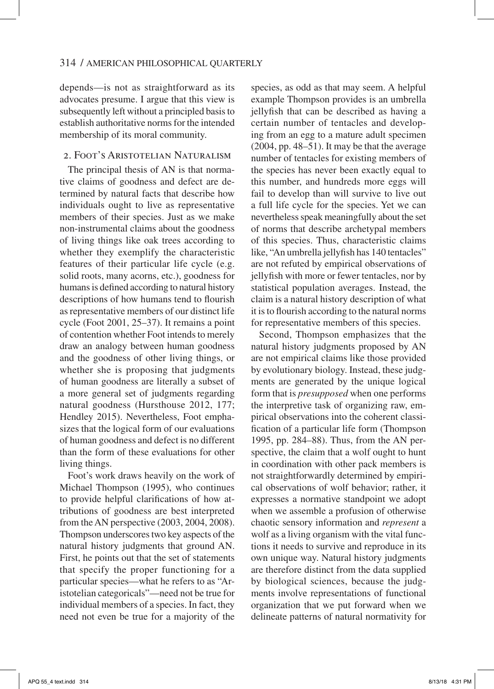depends—is not as straightforward as its advocates presume. I argue that this view is subsequently left without a principled basis to establish authoritative norms for the intended membership of its moral community.

# 2. Foot's Aristotelian Naturalism

The principal thesis of AN is that normative claims of goodness and defect are determined by natural facts that describe how individuals ought to live as representative members of their species. Just as we make non-instrumental claims about the goodness of living things like oak trees according to whether they exemplify the characteristic features of their particular life cycle (e.g. solid roots, many acorns, etc.), goodness for humans is defined according to natural history descriptions of how humans tend to flourish as representative members of our distinct life cycle (Foot 2001, 25–37). It remains a point of contention whether Foot intends to merely draw an analogy between human goodness and the goodness of other living things, or whether she is proposing that judgments of human goodness are literally a subset of a more general set of judgments regarding natural goodness (Hursthouse 2012, 177; Hendley 2015). Nevertheless, Foot emphasizes that the logical form of our evaluations of human goodness and defect is no different than the form of these evaluations for other living things.

Foot's work draws heavily on the work of Michael Thompson (1995), who continues to provide helpful clarifications of how attributions of goodness are best interpreted from the AN perspective (2003, 2004, 2008). Thompson underscores two key aspects of the natural history judgments that ground AN. First, he points out that the set of statements that specify the proper functioning for a particular species—what he refers to as "Aristotelian categoricals"—need not be true for individual members of a species. In fact, they need not even be true for a majority of the

species, as odd as that may seem. A helpful example Thompson provides is an umbrella jellyfish that can be described as having a certain number of tentacles and developing from an egg to a mature adult specimen (2004, pp. 48–51). It may be that the average number of tentacles for existing members of the species has never been exactly equal to this number, and hundreds more eggs will fail to develop than will survive to live out a full life cycle for the species. Yet we can nevertheless speak meaningfully about the set of norms that describe archetypal members of this species. Thus, characteristic claims like, "An umbrella jellyfish has 140 tentacles" are not refuted by empirical observations of jellyfish with more or fewer tentacles, nor by statistical population averages. Instead, the claim is a natural history description of what it is to flourish according to the natural norms for representative members of this species.

Second, Thompson emphasizes that the natural history judgments proposed by AN are not empirical claims like those provided by evolutionary biology. Instead, these judgments are generated by the unique logical form that is *presupposed* when one performs the interpretive task of organizing raw, empirical observations into the coherent classification of a particular life form (Thompson 1995, pp. 284–88). Thus, from the AN perspective, the claim that a wolf ought to hunt in coordination with other pack members is not straightforwardly determined by empirical observations of wolf behavior; rather, it expresses a normative standpoint we adopt when we assemble a profusion of otherwise chaotic sensory information and *represent* a wolf as a living organism with the vital functions it needs to survive and reproduce in its own unique way. Natural history judgments are therefore distinct from the data supplied by biological sciences, because the judgments involve representations of functional organization that we put forward when we delineate patterns of natural normativity for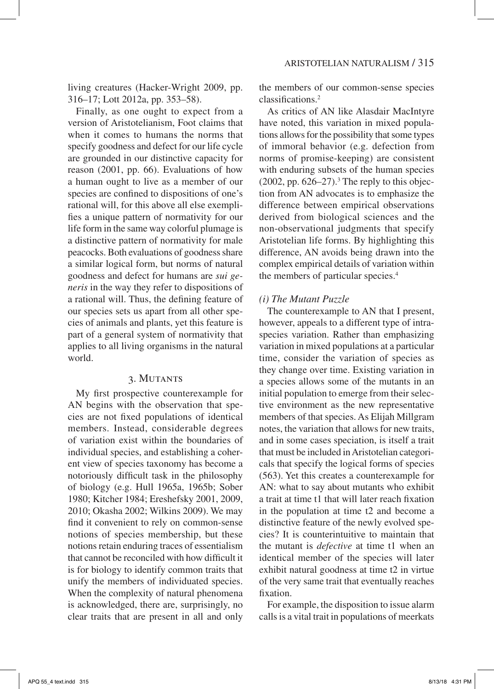living creatures (Hacker-Wright 2009, pp. 316–17; Lott 2012a, pp. 353–58).

Finally, as one ought to expect from a version of Aristotelianism, Foot claims that when it comes to humans the norms that specify goodness and defect for our life cycle are grounded in our distinctive capacity for reason (2001, pp. 66). Evaluations of how a human ought to live as a member of our species are confined to dispositions of one's rational will, for this above all else exemplifies a unique pattern of normativity for our life form in the same way colorful plumage is a distinctive pattern of normativity for male peacocks. Both evaluations of goodness share a similar logical form, but norms of natural goodness and defect for humans are *sui generis* in the way they refer to dispositions of a rational will. Thus, the defining feature of our species sets us apart from all other species of animals and plants, yet this feature is part of a general system of normativity that applies to all living organisms in the natural world.

#### 3. Mutants

 My first prospective counterexample for AN begins with the observation that species are not fixed populations of identical members. Instead, considerable degrees of variation exist within the boundaries of individual species, and establishing a coherent view of species taxonomy has become a notoriously difficult task in the philosophy of biology (e.g. Hull 1965a, 1965b; Sober 1980; Kitcher 1984; Ereshefsky 2001, 2009, 2010; Okasha 2002; Wilkins 2009). We may find it convenient to rely on common-sense notions of species membership, but these notions retain enduring traces of essentialism that cannot be reconciled with how difficult it is for biology to identify common traits that unify the members of individuated species. When the complexity of natural phenomena is acknowledged, there are, surprisingly, no clear traits that are present in all and only the members of our common-sense species classifications.2

As critics of AN like Alasdair MacIntyre have noted, this variation in mixed populations allows for the possibility that some types of immoral behavior (e.g. defection from norms of promise-keeping) are consistent with enduring subsets of the human species  $(2002, pp. 626-27).$ <sup>3</sup> The reply to this objection from AN advocates is to emphasize the difference between empirical observations derived from biological sciences and the non-observational judgments that specify Aristotelian life forms. By highlighting this difference, AN avoids being drawn into the complex empirical details of variation within the members of particular species.<sup>4</sup>

#### *(i) The Mutant Puzzle*

The counterexample to AN that I present, however, appeals to a different type of intraspecies variation. Rather than emphasizing variation in mixed populations at a particular time, consider the variation of species as they change over time. Existing variation in a species allows some of the mutants in an initial population to emerge from their selective environment as the new representative members of that species. As Elijah Millgram notes, the variation that allows for new traits, and in some cases speciation, is itself a trait that must be included in Aristotelian categoricals that specify the logical forms of species (563). Yet this creates a counterexample for AN: what to say about mutants who exhibit a trait at time t1 that will later reach fixation in the population at time t2 and become a distinctive feature of the newly evolved species? It is counterintuitive to maintain that the mutant is *defective* at time t1 when an identical member of the species will later exhibit natural goodness at time t2 in virtue of the very same trait that eventually reaches fixation.

For example, the disposition to issue alarm calls is a vital trait in populations of meerkats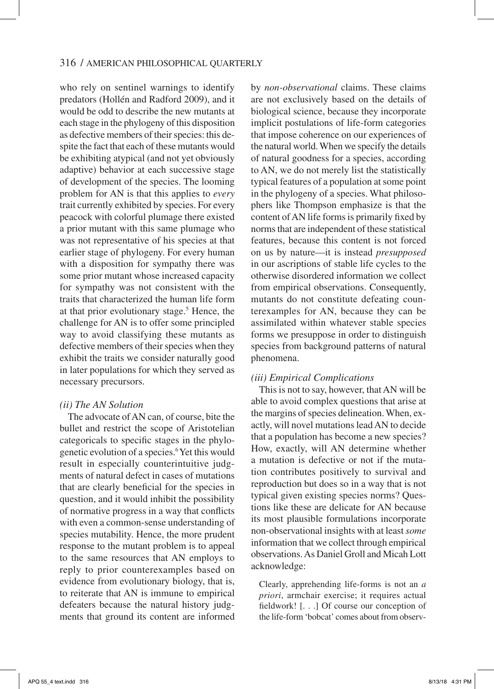who rely on sentinel warnings to identify predators (Hollén and Radford 2009), and it would be odd to describe the new mutants at each stage in the phylogeny of this disposition as defective members of their species: this despite the fact that each of these mutants would be exhibiting atypical (and not yet obviously adaptive) behavior at each successive stage of development of the species. The looming problem for AN is that this applies to *every* trait currently exhibited by species. For every peacock with colorful plumage there existed a prior mutant with this same plumage who was not representative of his species at that earlier stage of phylogeny. For every human with a disposition for sympathy there was some prior mutant whose increased capacity for sympathy was not consistent with the traits that characterized the human life form at that prior evolutionary stage.<sup>5</sup> Hence, the challenge for AN is to offer some principled way to avoid classifying these mutants as defective members of their species when they exhibit the traits we consider naturally good in later populations for which they served as necessary precursors.

# *(ii) The AN Solution*

The advocate of AN can, of course, bite the bullet and restrict the scope of Aristotelian categoricals to specific stages in the phylogenetic evolution of a species.6Yet this would result in especially counterintuitive judgments of natural defect in cases of mutations that are clearly beneficial for the species in question, and it would inhibit the possibility of normative progress in a way that conflicts with even a common-sense understanding of species mutability. Hence, the more prudent response to the mutant problem is to appeal to the same resources that AN employs to reply to prior counterexamples based on evidence from evolutionary biology, that is, to reiterate that AN is immune to empirical defeaters because the natural history judgments that ground its content are informed by *non-observational* claims. These claims are not exclusively based on the details of biological science, because they incorporate implicit postulations of life-form categories that impose coherence on our experiences of the natural world. When we specify the details of natural goodness for a species, according to AN, we do not merely list the statistically typical features of a population at some point in the phylogeny of a species. What philosophers like Thompson emphasize is that the content of AN life forms is primarily fixed by norms that are independent of these statistical features, because this content is not forced on us by nature—it is instead *presupposed* in our ascriptions of stable life cycles to the otherwise disordered information we collect from empirical observations. Consequently, mutants do not constitute defeating counterexamples for AN, because they can be assimilated within whatever stable species forms we presuppose in order to distinguish species from background patterns of natural phenomena.

# *(iii) Empirical Complications*

This is not to say, however, that AN will be able to avoid complex questions that arise at the margins of species delineation. When, exactly, will novel mutations lead AN to decide that a population has become a new species? How, exactly, will AN determine whether a mutation is defective or not if the mutation contributes positively to survival and reproduction but does so in a way that is not typical given existing species norms? Questions like these are delicate for AN because its most plausible formulations incorporate non-observational insights with at least *some* information that we collect through empirical observations. As Daniel Groll and Micah Lott acknowledge:

Clearly, apprehending life-forms is not an *a priori*, armchair exercise; it requires actual fieldwork! [. . .] Of course our conception of the life-form 'bobcat' comes about from observ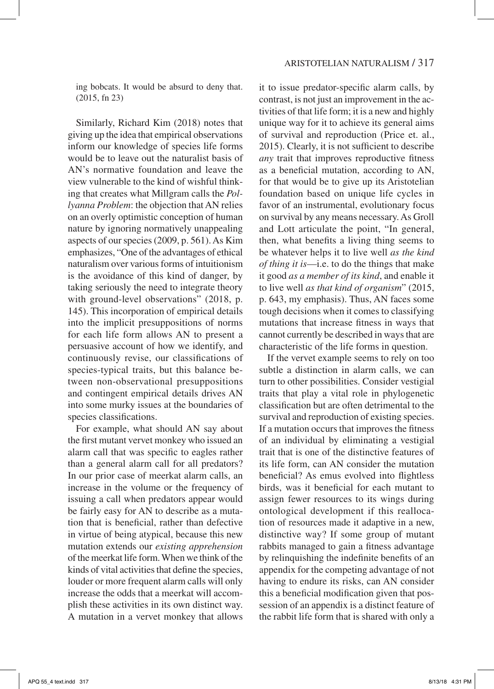ing bobcats. It would be absurd to deny that. (2015, fn 23)

Similarly, Richard Kim (2018) notes that giving up the idea that empirical observations inform our knowledge of species life forms would be to leave out the naturalist basis of AN's normative foundation and leave the view vulnerable to the kind of wishful thinking that creates what Millgram calls the *Pollyanna Problem*: the objection that AN relies on an overly optimistic conception of human nature by ignoring normatively unappealing aspects of our species (2009, p. 561). As Kim emphasizes, "One of the advantages of ethical naturalism over various forms of intuitionism is the avoidance of this kind of danger, by taking seriously the need to integrate theory with ground-level observations" (2018, p. 145). This incorporation of empirical details into the implicit presuppositions of norms for each life form allows AN to present a persuasive account of how we identify, and continuously revise, our classifications of species-typical traits, but this balance between non-observational presuppositions and contingent empirical details drives AN into some murky issues at the boundaries of species classifications.

For example, what should AN say about the first mutant vervet monkey who issued an alarm call that was specific to eagles rather than a general alarm call for all predators? In our prior case of meerkat alarm calls, an increase in the volume or the frequency of issuing a call when predators appear would be fairly easy for AN to describe as a mutation that is beneficial, rather than defective in virtue of being atypical, because this new mutation extends our *existing apprehension* of the meerkat life form. When we think of the kinds of vital activities that define the species, louder or more frequent alarm calls will only increase the odds that a meerkat will accomplish these activities in its own distinct way. A mutation in a vervet monkey that allows it to issue predator-specific alarm calls, by contrast, is not just an improvement in the activities of that life form; it is a new and highly unique way for it to achieve its general aims of survival and reproduction (Price et. al., 2015). Clearly, it is not sufficient to describe *any* trait that improves reproductive fitness as a beneficial mutation, according to AN, for that would be to give up its Aristotelian foundation based on unique life cycles in favor of an instrumental, evolutionary focus on survival by any means necessary. As Groll and Lott articulate the point, "In general, then, what benefits a living thing seems to be whatever helps it to live well *as the kind of thing it is*—i.e. to do the things that make it good *as a member of its kind*, and enable it to live well *as that kind of organism*" (2015, p. 643, my emphasis). Thus, AN faces some tough decisions when it comes to classifying mutations that increase fitness in ways that cannot currently be described in ways that are characteristic of the life forms in question.

If the vervet example seems to rely on too subtle a distinction in alarm calls, we can turn to other possibilities. Consider vestigial traits that play a vital role in phylogenetic classification but are often detrimental to the survival and reproduction of existing species. If a mutation occurs that improves the fitness of an individual by eliminating a vestigial trait that is one of the distinctive features of its life form, can AN consider the mutation beneficial? As emus evolved into flightless birds, was it beneficial for each mutant to assign fewer resources to its wings during ontological development if this reallocation of resources made it adaptive in a new, distinctive way? If some group of mutant rabbits managed to gain a fitness advantage by relinquishing the indefinite benefits of an appendix for the competing advantage of not having to endure its risks, can AN consider this a beneficial modification given that possession of an appendix is a distinct feature of the rabbit life form that is shared with only a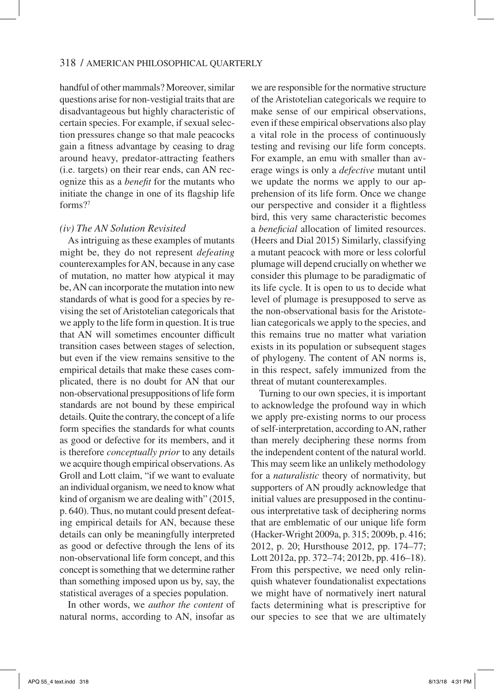handful of other mammals? Moreover, similar questions arise for non-vestigial traits that are disadvantageous but highly characteristic of certain species. For example, if sexual selection pressures change so that male peacocks gain a fitness advantage by ceasing to drag around heavy, predator-attracting feathers (i.e. targets) on their rear ends, can AN recognize this as a *benefit* for the mutants who initiate the change in one of its flagship life forms?7

#### *(iv) The AN Solution Revisited*

As intriguing as these examples of mutants might be, they do not represent *defeating* counterexamples for AN, because in any case of mutation, no matter how atypical it may be, AN can incorporate the mutation into new standards of what is good for a species by revising the set of Aristotelian categoricals that we apply to the life form in question. It is true that AN will sometimes encounter difficult transition cases between stages of selection, but even if the view remains sensitive to the empirical details that make these cases complicated, there is no doubt for AN that our non-observational presuppositions of life form standards are not bound by these empirical details. Quite the contrary, the concept of a life form specifies the standards for what counts as good or defective for its members, and it is therefore *conceptually prior* to any details we acquire though empirical observations. As Groll and Lott claim, "if we want to evaluate an individual organism, we need to know what kind of organism we are dealing with" (2015, p. 640). Thus, no mutant could present defeating empirical details for AN, because these details can only be meaningfully interpreted as good or defective through the lens of its non-observational life form concept, and this concept is something that we determine rather than something imposed upon us by, say, the statistical averages of a species population.

In other words, we *author the content* of natural norms, according to AN, insofar as

we are responsible for the normative structure of the Aristotelian categoricals we require to make sense of our empirical observations, even if these empirical observations also play a vital role in the process of continuously testing and revising our life form concepts. For example, an emu with smaller than average wings is only a *defective* mutant until we update the norms we apply to our apprehension of its life form. Once we change our perspective and consider it a flightless bird, this very same characteristic becomes a *beneficial* allocation of limited resources. (Heers and Dial 2015) Similarly, classifying a mutant peacock with more or less colorful plumage will depend crucially on whether we consider this plumage to be paradigmatic of its life cycle. It is open to us to decide what level of plumage is presupposed to serve as the non-observational basis for the Aristotelian categoricals we apply to the species, and this remains true no matter what variation exists in its population or subsequent stages of phylogeny. The content of AN norms is, in this respect, safely immunized from the threat of mutant counterexamples.

Turning to our own species, it is important to acknowledge the profound way in which we apply pre-existing norms to our process of self-interpretation, according to AN, rather than merely deciphering these norms from the independent content of the natural world. This may seem like an unlikely methodology for a *naturalistic* theory of normativity, but supporters of AN proudly acknowledge that initial values are presupposed in the continuous interpretative task of deciphering norms that are emblematic of our unique life form (Hacker-Wright 2009a, p. 315; 2009b, p. 416; 2012, p. 20; Hursthouse 2012, pp. 174–77; Lott 2012a, pp. 372–74; 2012b, pp. 416–18). From this perspective, we need only relinquish whatever foundationalist expectations we might have of normatively inert natural facts determining what is prescriptive for our species to see that we are ultimately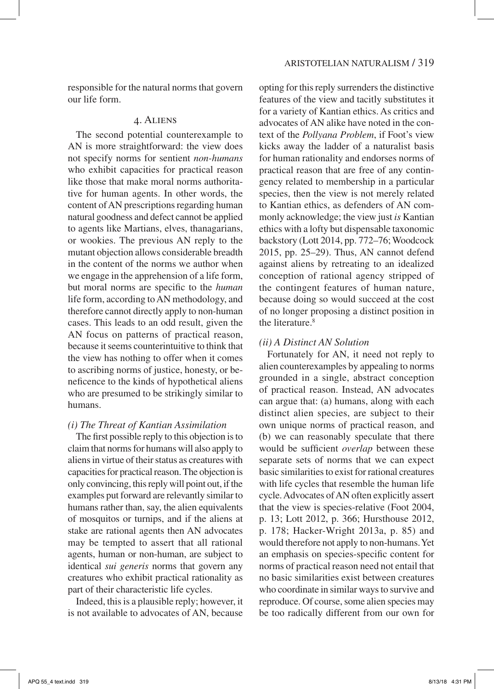responsible for the natural norms that govern our life form.

#### 4. Aliens

The second potential counterexample to AN is more straightforward: the view does not specify norms for sentient *non-humans* who exhibit capacities for practical reason like those that make moral norms authoritative for human agents. In other words, the content of AN prescriptions regarding human natural goodness and defect cannot be applied to agents like Martians, elves, thanagarians, or wookies. The previous AN reply to the mutant objection allows considerable breadth in the content of the norms we author when we engage in the apprehension of a life form, but moral norms are specific to the *human* life form, according to AN methodology, and therefore cannot directly apply to non-human cases. This leads to an odd result, given the AN focus on patterns of practical reason, because it seems counterintuitive to think that the view has nothing to offer when it comes to ascribing norms of justice, honesty, or beneficence to the kinds of hypothetical aliens who are presumed to be strikingly similar to humans.

#### *(i) The Threat of Kantian Assimilation*

The first possible reply to this objection is to claim that norms for humans will also apply to aliens in virtue of their status as creatures with capacities for practical reason. The objection is only convincing, this reply will point out, if the examples put forward are relevantly similar to humans rather than, say, the alien equivalents of mosquitos or turnips, and if the aliens at stake are rational agents then AN advocates may be tempted to assert that all rational agents, human or non-human, are subject to identical *sui generis* norms that govern any creatures who exhibit practical rationality as part of their characteristic life cycles.

Indeed, this is a plausible reply; however, it is not available to advocates of AN, because opting for this reply surrenders the distinctive features of the view and tacitly substitutes it for a variety of Kantian ethics. As critics and advocates of AN alike have noted in the context of the *Pollyana Problem*, if Foot's view kicks away the ladder of a naturalist basis for human rationality and endorses norms of practical reason that are free of any contingency related to membership in a particular species, then the view is not merely related to Kantian ethics, as defenders of AN commonly acknowledge; the view just *is* Kantian ethics with a lofty but dispensable taxonomic backstory (Lott 2014, pp. 772–76; Woodcock 2015, pp. 25–29). Thus, AN cannot defend against aliens by retreating to an idealized conception of rational agency stripped of the contingent features of human nature, because doing so would succeed at the cost of no longer proposing a distinct position in the literature.<sup>8</sup>

#### *(ii) A Distinct AN Solution*

Fortunately for AN, it need not reply to alien counterexamples by appealing to norms grounded in a single, abstract conception of practical reason. Instead, AN advocates can argue that: (a) humans, along with each distinct alien species, are subject to their own unique norms of practical reason, and (b) we can reasonably speculate that there would be sufficient *overlap* between these separate sets of norms that we can expect basic similarities to exist for rational creatures with life cycles that resemble the human life cycle. Advocates of AN often explicitly assert that the view is species-relative (Foot 2004, p. 13; Lott 2012, p. 366; Hursthouse 2012, p. 178; Hacker-Wright 2013a, p. 85) and would therefore not apply to non-humans. Yet an emphasis on species-specific content for norms of practical reason need not entail that no basic similarities exist between creatures who coordinate in similar ways to survive and reproduce. Of course, some alien species may be too radically different from our own for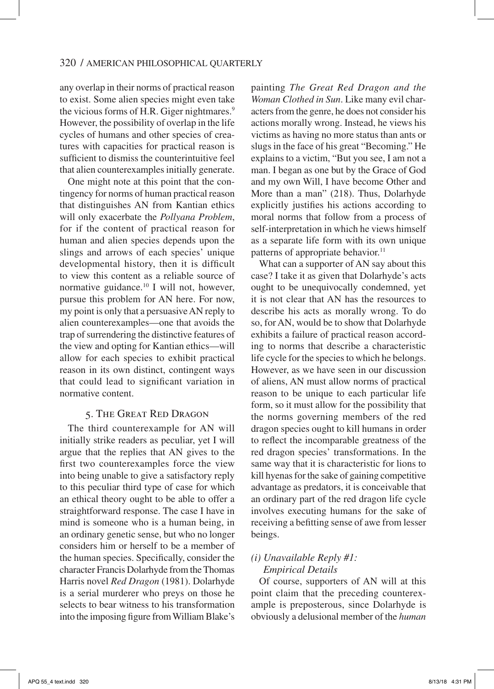any overlap in their norms of practical reason to exist. Some alien species might even take the vicious forms of H.R. Giger nightmares.<sup>9</sup> However, the possibility of overlap in the life cycles of humans and other species of creatures with capacities for practical reason is sufficient to dismiss the counterintuitive feel that alien counterexamples initially generate.

 One might note at this point that the contingency for norms of human practical reason that distinguishes AN from Kantian ethics will only exacerbate the *Pollyana Problem*, for if the content of practical reason for human and alien species depends upon the slings and arrows of each species' unique developmental history, then it is difficult to view this content as a reliable source of normative guidance.<sup>10</sup> I will not, however, pursue this problem for AN here. For now, my point is only that a persuasive AN reply to alien counterexamples—one that avoids the trap of surrendering the distinctive features of the view and opting for Kantian ethics—will allow for each species to exhibit practical reason in its own distinct, contingent ways that could lead to significant variation in normative content.

# 5. The Great Red Dragon

The third counterexample for AN will initially strike readers as peculiar, yet I will argue that the replies that AN gives to the first two counterexamples force the view into being unable to give a satisfactory reply to this peculiar third type of case for which an ethical theory ought to be able to offer a straightforward response. The case I have in mind is someone who is a human being, in an ordinary genetic sense, but who no longer considers him or herself to be a member of the human species. Specifically, consider the character Francis Dolarhyde from the Thomas Harris novel *Red Dragon* (1981). Dolarhyde is a serial murderer who preys on those he selects to bear witness to his transformation into the imposing figure from William Blake's

painting *The Great Red Dragon and the Woman Clothed in Sun*. Like many evil characters from the genre, he does not consider his actions morally wrong. Instead, he views his victims as having no more status than ants or slugs in the face of his great "Becoming." He explains to a victim, "But you see, I am not a man. I began as one but by the Grace of God and my own Will, I have become Other and More than a man" (218). Thus, Dolarhyde explicitly justifies his actions according to moral norms that follow from a process of self-interpretation in which he views himself as a separate life form with its own unique patterns of appropriate behavior.<sup>11</sup>

What can a supporter of AN say about this case? I take it as given that Dolarhyde's acts ought to be unequivocally condemned, yet it is not clear that AN has the resources to describe his acts as morally wrong. To do so, for AN, would be to show that Dolarhyde exhibits a failure of practical reason according to norms that describe a characteristic life cycle for the species to which he belongs. However, as we have seen in our discussion of aliens, AN must allow norms of practical reason to be unique to each particular life form, so it must allow for the possibility that the norms governing members of the red dragon species ought to kill humans in order to reflect the incomparable greatness of the red dragon species' transformations. In the same way that it is characteristic for lions to kill hyenas for the sake of gaining competitive advantage as predators, it is conceivable that an ordinary part of the red dragon life cycle involves executing humans for the sake of receiving a befitting sense of awe from lesser beings.

# *(i) Unavailable Reply #1: Empirical Details*

 Of course, supporters of AN will at this point claim that the preceding counterexample is preposterous, since Dolarhyde is obviously a delusional member of the *human*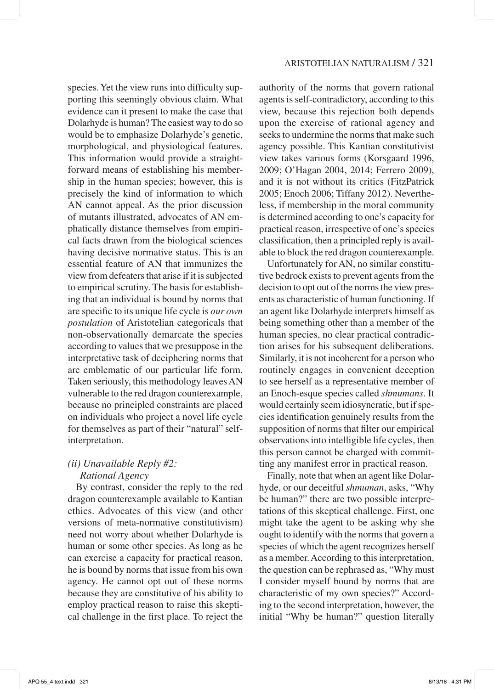species. Yet the view runs into difficulty supporting this seemingly obvious claim. What evidence can it present to make the case that Dolarhyde is human? The easiest way to do so would be to emphasize Dolarhyde's genetic, morphological, and physiological features. This information would provide a straightforward means of establishing his membership in the human species; however, this is precisely the kind of information to which AN cannot appeal. As the prior discussion of mutants illustrated, advocates of AN emphatically distance themselves from empirical facts drawn from the biological sciences having decisive normative status. This is an essential feature of AN that immunizes the view from defeaters that arise if it is subjected to empirical scrutiny. The basis for establishing that an individual is bound by norms that are specific to its unique life cycle is *our own postulation* of Aristotelian categoricals that non-observationally demarcate the species according to values that we presuppose in the interpretative task of deciphering norms that are emblematic of our particular life form. Taken seriously, this methodology leaves AN vulnerable to the red dragon counterexample, because no principled constraints are placed on individuals who project a novel life cycle for themselves as part of their "natural" selfinterpretation.

# *(ii) Unavailable Reply #2:*

# *Rational Agency*

By contrast, consider the reply to the red dragon counterexample available to Kantian ethics. Advocates of this view (and other versions of meta-normative constitutivism) need not worry about whether Dolarhyde is human or some other species. As long as he can exercise a capacity for practical reason, he is bound by norms that issue from his own agency. He cannot opt out of these norms because they are constitutive of his ability to employ practical reason to raise this skeptical challenge in the first place. To reject the authority of the norms that govern rational agents is self-contradictory, according to this view, because this rejection both depends upon the exercise of rational agency and seeks to undermine the norms that make such agency possible. This Kantian constitutivist view takes various forms (Korsgaard 1996, 2009; O'Hagan 2004, 2014; Ferrero 2009), and it is not without its critics (FitzPatrick 2005; Enoch 2006; Tiffany 2012). Nevertheless, if membership in the moral community is determined according to one's capacity for practical reason, irrespective of one's species classification, then a principled reply is available to block the red dragon counterexample.

 Unfortunately for AN, no similar constitutive bedrock exists to prevent agents from the decision to opt out of the norms the view presents as characteristic of human functioning. If an agent like Dolarhyde interprets himself as being something other than a member of the human species, no clear practical contradiction arises for his subsequent deliberations. Similarly, it is not incoherent for a person who routinely engages in convenient deception to see herself as a representative member of an Enoch-esque species called *shmumans*. It would certainly seem idiosyncratic, but if species identification genuinely results from the supposition of norms that filter our empirical observations into intelligible life cycles, then this person cannot be charged with committing any manifest error in practical reason.

Finally, note that when an agent like Dolarhyde, or our deceitful *shmuman*, asks, "Why be human?" there are two possible interpretations of this skeptical challenge. First, one might take the agent to be asking why she ought to identify with the norms that govern a species of which the agent recognizes herself as a member. According to this interpretation, the question can be rephrased as, "Why must I consider myself bound by norms that are characteristic of my own species?" According to the second interpretation, however, the initial "Why be human?" question literally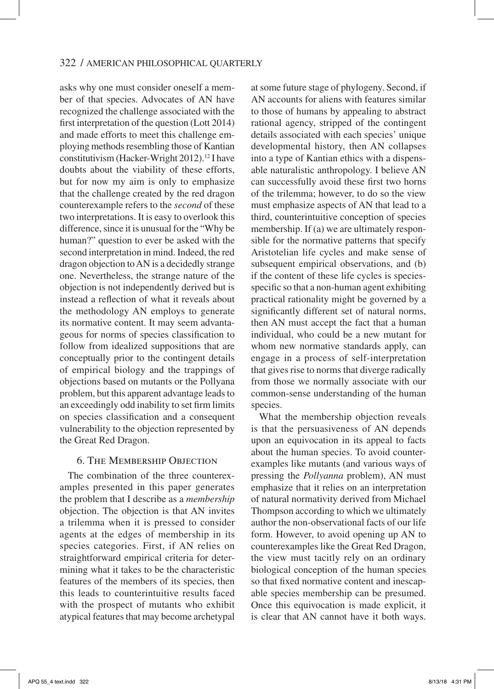asks why one must consider oneself a member of that species. Advocates of AN have recognized the challenge associated with the first interpretation of the question (Lott 2014) and made efforts to meet this challenge employing methods resembling those of Kantian constitutivism (Hacker-Wright 2012).<sup>12</sup> I have doubts about the viability of these efforts, but for now my aim is only to emphasize that the challenge created by the red dragon counterexample refers to the *second* of these two interpretations. It is easy to overlook this difference, since it is unusual for the "Why be human?" question to ever be asked with the second interpretation in mind. Indeed, the red dragon objection to AN is a decidedly strange one. Nevertheless, the strange nature of the objection is not independently derived but is instead a reflection of what it reveals about the methodology AN employs to generate its normative content. It may seem advantageous for norms of species classification to follow from idealized suppositions that are conceptually prior to the contingent details of empirical biology and the trappings of objections based on mutants or the Pollyana problem, but this apparent advantage leads to an exceedingly odd inability to set firm limits on species classification and a consequent vulnerability to the objection represented by the Great Red Dragon.

# **6. THE MEMBERSHIP OBJECTION**

The combination of the three counterexamples presented in this paper generates the problem that I describe as a *membership* objection. The objection is that AN invites a trilemma when it is pressed to consider agents at the edges of membership in its species categories. First, if AN relies on straightforward empirical criteria for determining what it takes to be the characteristic features of the members of its species, then this leads to counterintuitive results faced with the prospect of mutants who exhibit atypical features that may become archetypal at some future stage of phylogeny. Second, if AN accounts for aliens with features similar to those of humans by appealing to abstract rational agency, stripped of the contingent details associated with each species' unique developmental history, then AN collapses into a type of Kantian ethics with a dispensable naturalistic anthropology. I believe AN can successfully avoid these first two horns of the trilemma; however, to do so the view must emphasize aspects of AN that lead to a third, counterintuitive conception of species membership. If (a) we are ultimately responsible for the normative patterns that specify Aristotelian life cycles and make sense of subsequent empirical observations, and (b) if the content of these life cycles is speciesspecific so that a non-human agent exhibiting practical rationality might be governed by a significantly different set of natural norms, then AN must accept the fact that a human individual, who could be a new mutant for whom new normative standards apply, can engage in a process of self-interpretation that gives rise to norms that diverge radically from those we normally associate with our common-sense understanding of the human species.

What the membership objection reveals is that the persuasiveness of AN depends upon an equivocation in its appeal to facts about the human species. To avoid counterexamples like mutants (and various ways of pressing the *Pollyanna* problem), AN must emphasize that it relies on an interpretation of natural normativity derived from Michael Thompson according to which we ultimately author the non-observational facts of our life form. However, to avoid opening up AN to counterexamples like the Great Red Dragon, the view must tacitly rely on an ordinary biological conception of the human species so that fixed normative content and inescapable species membership can be presumed. Once this equivocation is made explicit, it is clear that AN cannot have it both ways.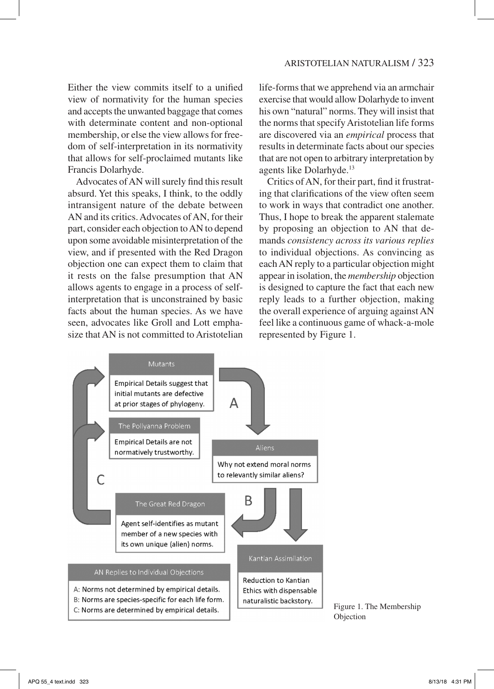Either the view commits itself to a unified view of normativity for the human species and accepts the unwanted baggage that comes with determinate content and non-optional membership, or else the view allows for freedom of self-interpretation in its normativity that allows for self-proclaimed mutants like Francis Dolarhyde.

Advocates of AN will surely find this result absurd. Yet this speaks, I think, to the oddly intransigent nature of the debate between AN and its critics. Advocates of AN, for their part, consider each objection to AN to depend upon some avoidable misinterpretation of the view, and if presented with the Red Dragon objection one can expect them to claim that it rests on the false presumption that AN allows agents to engage in a process of selfinterpretation that is unconstrained by basic facts about the human species. As we have seen, advocates like Groll and Lott emphasize that AN is not committed to Aristotelian life-forms that we apprehend via an armchair exercise that would allow Dolarhyde to invent his own "natural" norms. They will insist that the norms that specify Aristotelian life forms are discovered via an *empirical* process that results in determinate facts about our species that are not open to arbitrary interpretation by agents like Dolarhyde.13

Critics of AN, for their part, find it frustrating that clarifications of the view often seem to work in ways that contradict one another. Thus, I hope to break the apparent stalemate by proposing an objection to AN that demands *consistency across its various replies* to individual objections. As convincing as each AN reply to a particular objection might appear in isolation, the *membership* objection is designed to capture the fact that each new reply leads to a further objection, making the overall experience of arguing against AN feel like a continuous game of whack-a-mole represented by Figure 1.



Figure 1. The Membership Objection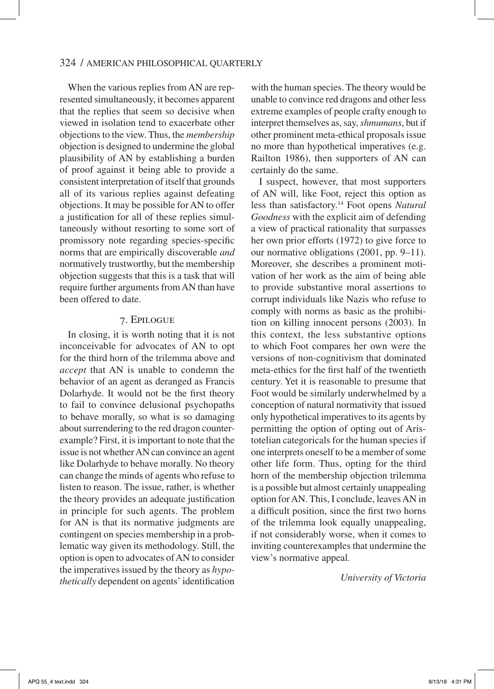#### 324 / American Philosophical Quarterly

When the various replies from AN are represented simultaneously, it becomes apparent that the replies that seem so decisive when viewed in isolation tend to exacerbate other objections to the view. Thus, the *membership* objection is designed to undermine the global plausibility of AN by establishing a burden of proof against it being able to provide a consistent interpretation of itself that grounds all of its various replies against defeating objections. It may be possible for AN to offer a justification for all of these replies simultaneously without resorting to some sort of promissory note regarding species-specific norms that are empirically discoverable *and* normatively trustworthy, but the membership objection suggests that this is a task that will require further arguments from AN than have been offered to date.

#### 7. Epilogue

In closing, it is worth noting that it is not inconceivable for advocates of AN to opt for the third horn of the trilemma above and *accept* that AN is unable to condemn the behavior of an agent as deranged as Francis Dolarhyde. It would not be the first theory to fail to convince delusional psychopaths to behave morally, so what is so damaging about surrendering to the red dragon counterexample? First, it is important to note that the issue is not whether AN can convince an agent like Dolarhyde to behave morally. No theory can change the minds of agents who refuse to listen to reason. The issue, rather, is whether the theory provides an adequate justification in principle for such agents. The problem for AN is that its normative judgments are contingent on species membership in a problematic way given its methodology. Still, the option is open to advocates of AN to consider the imperatives issued by the theory as *hypothetically* dependent on agents' identification

with the human species. The theory would be unable to convince red dragons and other less extreme examples of people crafty enough to interpret themselves as, say, *shmumans*, but if other prominent meta-ethical proposals issue no more than hypothetical imperatives (e.g. Railton 1986), then supporters of AN can certainly do the same.

I suspect, however, that most supporters of AN will, like Foot, reject this option as less than satisfactory.14 Foot opens *Natural Goodness* with the explicit aim of defending a view of practical rationality that surpasses her own prior efforts (1972) to give force to our normative obligations (2001, pp. 9–11). Moreover, she describes a prominent motivation of her work as the aim of being able to provide substantive moral assertions to corrupt individuals like Nazis who refuse to comply with norms as basic as the prohibition on killing innocent persons (2003). In this context, the less substantive options to which Foot compares her own were the versions of non-cognitivism that dominated meta-ethics for the first half of the twentieth century. Yet it is reasonable to presume that Foot would be similarly underwhelmed by a conception of natural normativity that issued only hypothetical imperatives to its agents by permitting the option of opting out of Aristotelian categoricals for the human species if one interprets oneself to be a member of some other life form. Thus, opting for the third horn of the membership objection trilemma is a possible but almost certainly unappealing option for AN. This, I conclude, leaves AN in a difficult position, since the first two horns of the trilemma look equally unappealing, if not considerably worse, when it comes to inviting counterexamples that undermine the view's normative appeal.

*University of Victoria*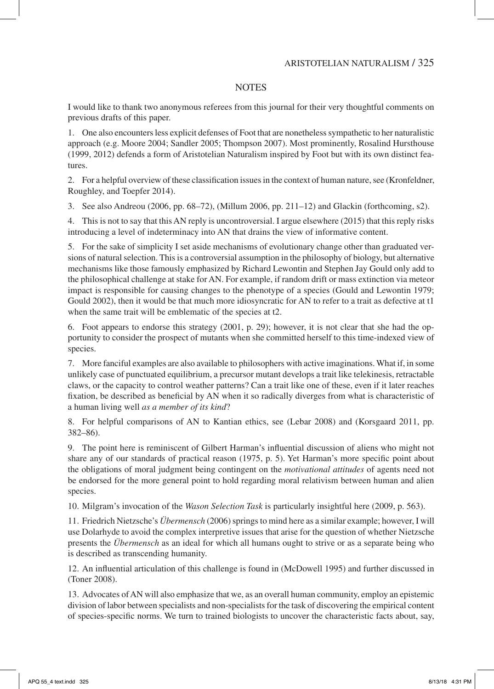# **NOTES**

I would like to thank two anonymous referees from this journal for their very thoughtful comments on previous drafts of this paper.

1. One also encounters less explicit defenses of Foot that are nonetheless sympathetic to her naturalistic approach (e.g. Moore 2004; Sandler 2005; Thompson 2007). Most prominently, Rosalind Hursthouse (1999, 2012) defends a form of Aristotelian Naturalism inspired by Foot but with its own distinct features.

2. For a helpful overview of these classification issues in the context of human nature, see (Kronfeldner, Roughley, and Toepfer 2014).

3. See also Andreou (2006, pp. 68–72), (Millum 2006, pp. 211–12) and Glackin (forthcoming, s2).

4. This is not to say that this AN reply is uncontroversial. I argue elsewhere (2015) that this reply risks introducing a level of indeterminacy into AN that drains the view of informative content.

5. For the sake of simplicity I set aside mechanisms of evolutionary change other than graduated versions of natural selection. This is a controversial assumption in the philosophy of biology, but alternative mechanisms like those famously emphasized by Richard Lewontin and Stephen Jay Gould only add to the philosophical challenge at stake for AN. For example, if random drift or mass extinction via meteor impact is responsible for causing changes to the phenotype of a species (Gould and Lewontin 1979; Gould 2002), then it would be that much more idiosyncratic for AN to refer to a trait as defective at t1 when the same trait will be emblematic of the species at t2.

6. Foot appears to endorse this strategy (2001, p. 29); however, it is not clear that she had the opportunity to consider the prospect of mutants when she committed herself to this time-indexed view of species.

7. More fanciful examples are also available to philosophers with active imaginations. What if, in some unlikely case of punctuated equilibrium, a precursor mutant develops a trait like telekinesis, retractable claws, or the capacity to control weather patterns? Can a trait like one of these, even if it later reaches fixation, be described as beneficial by AN when it so radically diverges from what is characteristic of a human living well *as a member of its kind*?

8. For helpful comparisons of AN to Kantian ethics, see (Lebar 2008) and (Korsgaard 2011, pp. 382–86).

9. The point here is reminiscent of Gilbert Harman's influential discussion of aliens who might not share any of our standards of practical reason (1975, p. 5). Yet Harman's more specific point about the obligations of moral judgment being contingent on the *motivational attitudes* of agents need not be endorsed for the more general point to hold regarding moral relativism between human and alien species.

10. Milgram's invocation of the *Wason Selection Task* is particularly insightful here (2009, p. 563).

11. Friedrich Nietzsche's *Übermensch* (2006) springs to mind here as a similar example; however, I will use Dolarhyde to avoid the complex interpretive issues that arise for the question of whether Nietzsche presents the *Übermensch* as an ideal for which all humans ought to strive or as a separate being who is described as transcending humanity.

12. An influential articulation of this challenge is found in (McDowell 1995) and further discussed in (Toner 2008).

13. Advocates of AN will also emphasize that we, as an overall human community, employ an epistemic division of labor between specialists and non-specialists for the task of discovering the empirical content of species-specific norms. We turn to trained biologists to uncover the characteristic facts about, say,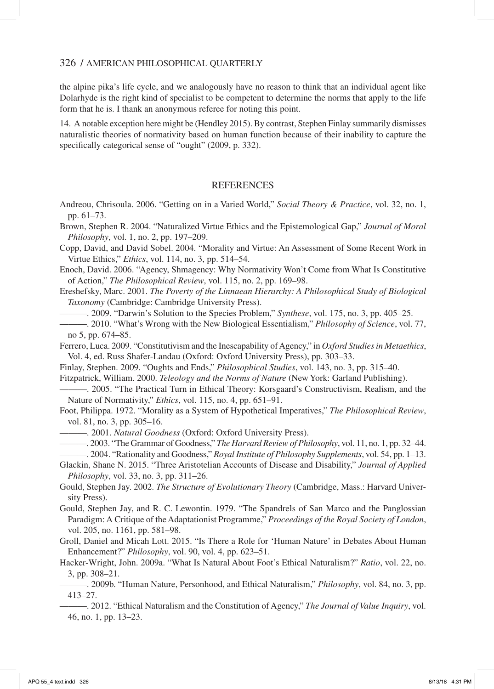the alpine pika's life cycle, and we analogously have no reason to think that an individual agent like Dolarhyde is the right kind of specialist to be competent to determine the norms that apply to the life form that he is. I thank an anonymous referee for noting this point.

14. A notable exception here might be (Hendley 2015). By contrast, Stephen Finlay summarily dismisses naturalistic theories of normativity based on human function because of their inability to capture the specifically categorical sense of "ought" (2009, p. 332).

#### **REFERENCES**

Andreou, Chrisoula. 2006. "Getting on in a Varied World," *Social Theory & Practice*, vol. 32, no. 1, pp. 61–73.

Brown, Stephen R. 2004. "Naturalized Virtue Ethics and the Epistemological Gap," *Journal of Moral Philosophy*, vol. 1, no. 2, pp. 197–209.

Copp, David, and David Sobel. 2004. "Morality and Virtue: An Assessment of Some Recent Work in Virtue Ethics," *Ethics*, vol. 114, no. 3, pp. 514–54.

Enoch, David. 2006. "Agency, Shmagency: Why Normativity Won't Come from What Is Constitutive of Action," *The Philosophical Review*, vol. 115, no. 2, pp. 169–98.

Ereshefsky, Marc. 2001. *The Poverty of the Linnaean Hierarchy: A Philosophical Study of Biological Taxonomy* (Cambridge: Cambridge University Press).

———. 2009. "Darwin's Solution to the Species Problem," *Synthese*, vol. 175, no. 3, pp. 405–25.

———. 2010. "What's Wrong with the New Biological Essentialism," *Philosophy of Science*, vol. 77, no 5, pp. 674–85.

Ferrero, Luca. 2009. "Constitutivism and the Inescapability of Agency," in *Oxford Studies in Metaethics*, Vol. 4, ed. Russ Shafer-Landau (Oxford: Oxford University Press), pp. 303–33.

Finlay, Stephen. 2009. "Oughts and Ends," *Philosophical Studies*, vol. 143, no. 3, pp. 315–40.

Fitzpatrick, William. 2000. *Teleology and the Norms of Nature* (New York: Garland Publishing).

———. 2005. "The Practical Turn in Ethical Theory: Korsgaard's Constructivism, Realism, and the Nature of Normativity," *Ethics*, vol. 115, no. 4, pp. 651–91.

Foot, Philippa. 1972. "Morality as a System of Hypothetical Imperatives," *The Philosophical Review*, vol. 81, no. 3, pp. 305–16.

———. 2001. *Natural Goodness* (Oxford: Oxford University Press).

———. 2003. "The Grammar of Goodness," *The Harvard Review of Philosophy*, vol. 11, no. 1, pp. 32–44. ———. 2004. "Rationality and Goodness," *Royal Institute of Philosophy Supplements*, vol. 54, pp. 1–13.

Glackin, Shane N. 2015. "Three Aristotelian Accounts of Disease and Disability," *Journal of Applied Philosophy*, vol. 33, no. 3, pp. 311–26.

Gould, Stephen Jay. 2002. *The Structure of Evolutionary Theory* (Cambridge, Mass.: Harvard University Press).

Gould, Stephen Jay, and R. C. Lewontin. 1979. "The Spandrels of San Marco and the Panglossian Paradigm: A Critique of the Adaptationist Programme," *Proceedings of the Royal Society of London*, vol. 205, no. 1161, pp. 581–98.

Groll, Daniel and Micah Lott. 2015. "Is There a Role for 'Human Nature' in Debates About Human Enhancement?" *Philosophy*, vol. 90, vol. 4, pp. 623–51.

Hacker-Wright, John. 2009a. "What Is Natural About Foot's Ethical Naturalism?" *Ratio*, vol. 22, no. 3, pp. 308–21.

———. 2009b. "Human Nature, Personhood, and Ethical Naturalism," *Philosophy*, vol. 84, no. 3, pp. 413–27.

———. 2012. "Ethical Naturalism and the Constitution of Agency," *The Journal of Value Inquiry*, vol. 46, no. 1, pp. 13–23.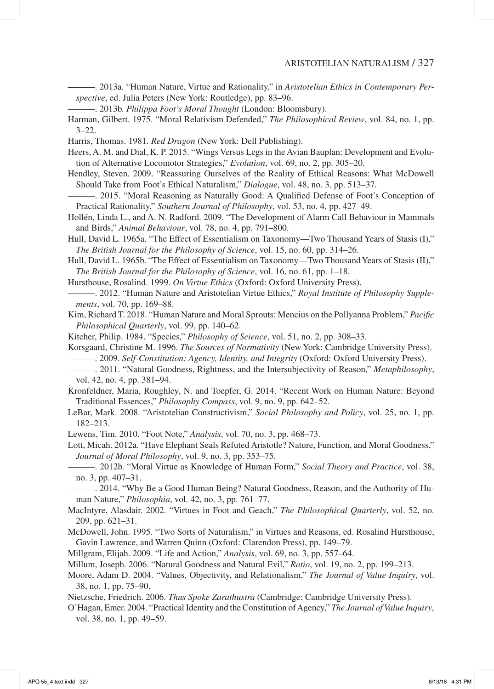———. 2013a. "Human Nature, Virtue and Rationality," in *Aristotelian Ethics in Contemporary Perspective*, ed. Julia Peters (New York: Routledge), pp. 83–96.

———. 2013b. *Philippa Foot's Moral Thought* (London: Bloomsbury).

Harman, Gilbert. 1975. "Moral Relativism Defended," *The Philosophical Review*, vol. 84, no. 1, pp.  $3 - 22$ .

Harris, Thomas. 1981. *Red Dragon* (New York: Dell Publishing).

Heers, A. M. and Dial, K. P. 2015. "Wings Versus Legs in the Avian Bauplan: Development and Evolution of Alternative Locomotor Strategies," *Evolution*, vol. 69, no. 2, pp. 305–20.

Hendley, Steven. 2009. "Reassuring Ourselves of the Reality of Ethical Reasons: What McDowell Should Take from Foot's Ethical Naturalism," *Dialogue*, vol. 48, no. 3, pp. 513–37.

———. 2015. "Moral Reasoning as Naturally Good: A Qualified Defense of Foot's Conception of Practical Rationality," *Southern Journal of Philosophy*, vol. 53, no. 4, pp. 427–49.

Hollén, Linda L., and A. N. Radford. 2009. "The Development of Alarm Call Behaviour in Mammals and Birds," *Animal Behaviour*, vol. 78, no. 4, pp. 791–800.

Hull, David L. 1965a. "The Effect of Essentialism on Taxonomy—Two Thousand Years of Stasis (I)," *The British Journal for the Philosophy of Science*, vol. 15, no. 60, pp. 314–26.

Hull, David L. 1965b. "The Effect of Essentialism on Taxonomy—Two Thousand Years of Stasis (II)," *The British Journal for the Philosophy of Science*, vol. 16, no. 61, pp. 1–18.

Hursthouse, Rosalind. 1999. *On Virtue Ethics* (Oxford: Oxford University Press).

———. 2012. "Human Nature and Aristotelian Virtue Ethics," *Royal Institute of Philosophy Supplements*, vol. 70, pp. 169–88.

Kim, Richard T. 2018. "Human Nature and Moral Sprouts: Mencius on the Pollyanna Problem," *Pacific Philosophical Quarterly*, vol. 99, pp. 140–62.

Kitcher, Philip. 1984. "Species," *Philosophy of Science*, vol. 51, no. 2, pp. 308–33.

Korsgaard, Christine M. 1996. *The Sources of Normativity* (New York: Cambridge University Press). ———. 2009. *Self-Constitution: Agency, Identity, and Integrity* (Oxford: Oxford University Press).

———. 2011. "Natural Goodness, Rightness, and the Intersubjectivity of Reason," *Metaphilosophy*, vol. 42, no. 4, pp. 381–94.

Kronfeldner, Maria, Roughley, N. and Toepfer, G. 2014. "Recent Work on Human Nature: Beyond Traditional Essences," *Philosophy Compass*, vol. 9, no. 9, pp. 642–52.

LeBar, Mark. 2008. "Aristotelian Constructivism," *Social Philosophy and Policy*, vol. 25, no. 1, pp. 182–213.

Lewens, Tim. 2010. "Foot Note," *Analysis*, vol. 70, no. 3, pp. 468–73.

Lott, Micah. 2012a. "Have Elephant Seals Refuted Aristotle? Nature, Function, and Moral Goodness," *Journal of Moral Philosophy*, vol. 9, no. 3, pp. 353–75.

———. 2012b. "Moral Virtue as Knowledge of Human Form," *Social Theory and Practice*, vol. 38, no. 3, pp. 407–31.

———. 2014. "Why Be a Good Human Being? Natural Goodness, Reason, and the Authority of Human Nature," *Philosophia*, vol. 42, no. 3, pp. 761–77.

MacIntyre, Alasdair. 2002. "Virtues in Foot and Geach," *The Philosophical Quarterly*, vol. 52, no. 209, pp. 621–31.

McDowell, John. 1995. "Two Sorts of Naturalism," in Virtues and Reasons, ed. Rosalind Hursthouse, Gavin Lawrence, and Warren Quinn (Oxford: Clarendon Press), pp. 149–79.

Millgram, Elijah. 2009. "Life and Action," *Analysis*, vol. 69, no. 3, pp. 557–64.

Millum, Joseph. 2006. "Natural Goodness and Natural Evil," *Ratio*, vol. 19, no. 2, pp. 199–213.

Moore, Adam D. 2004. "Values, Objectivity, and Relationalism," *The Journal of Value Inquiry*, vol. 38, no. 1, pp. 75–90.

Nietzsche, Friedrich. 2006. *Thus Spoke Zarathustra* (Cambridge: Cambridge University Press).

O'Hagan, Emer. 2004. "Practical Identity and the Constitution of Agency," *The Journal of Value Inquiry*, vol. 38, no. 1, pp. 49–59.